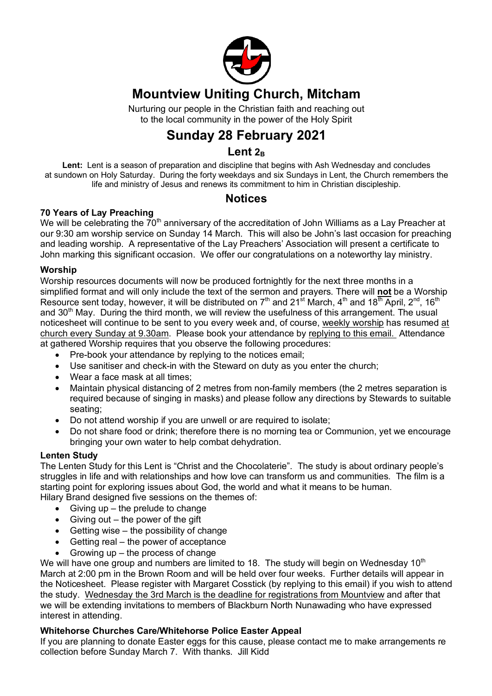

# **Mountview Uniting Church, Mitcham**

Nurturing our people in the Christian faith and reaching out to the local community in the power of the Holy Spirit

# **Sunday 28 February 2021**

## Lent<sub>2B</sub>

**Lent:** Lent is a season of preparation and discipline that begins with Ash Wednesday and concludes at sundown on Holy Saturday. During the forty weekdays and six Sundays in Lent, the Church remembers the life and ministry of Jesus and renews its commitment to him in Christian discipleship.

## **Notices**

## **70 Years of Lay Preaching**

We will be celebrating the  $70<sup>th</sup>$  anniversary of the accreditation of John Williams as a Lay Preacher at our 9:30 am worship service on Sunday 14 March. This will also be John's last occasion for preaching and leading worship. A representative of the Lay Preachers' Association will present a certificate to John marking this significant occasion. We offer our congratulations on a noteworthy lay ministry.

## **Worship**

Worship resources documents will now be produced fortnightly for the next three months in a simplified format and will only include the text of the sermon and prayers. There will **not** be a Worship Resource sent today, however, it will be distributed on  $7<sup>th</sup>$  and  $21<sup>st</sup>$  March,  $4<sup>th</sup>$  and  $18<sup>th</sup>$  April,  $2<sup>nd</sup>$ ,  $16<sup>th</sup>$ and 30<sup>th</sup> May. During the third month, we will review the usefulness of this arrangement. The usual noticesheet will continue to be sent to you every week and, of course, weekly worship has resumed at church every Sunday at 9.30am. Please book your attendance by replying to this email. Attendance at gathered Worship requires that you observe the following procedures:

- Pre-book your attendance by replying to the notices email;
- Use sanitiser and check-in with the Steward on duty as you enter the church;
- Wear a face mask at all times;
- Maintain physical distancing of 2 metres from non-family members (the 2 metres separation is required because of singing in masks) and please follow any directions by Stewards to suitable seating;
- Do not attend worship if you are unwell or are required to isolate;
- Do not share food or drink; therefore there is no morning tea or Communion, yet we encourage bringing your own water to help combat dehydration.

## **Lenten Study**

The Lenten Study for this Lent is "Christ and the Chocolaterie". The study is about ordinary people's struggles in life and with relationships and how love can transform us and communities. The film is a starting point for exploring issues about God, the world and what it means to be human. Hilary Brand designed five sessions on the themes of:

- Giving  $up$  the prelude to change
- $\bullet$  Giving out the power of the gift
- $\bullet$  Getting wise the possibility of change
- Getting real the power of acceptance
- Growing up  $-$  the process of change

We will have one group and numbers are limited to 18. The study will begin on Wednesday  $10<sup>th</sup>$ March at 2:00 pm in the Brown Room and will be held over four weeks. Further details will appear in the Noticesheet. Please register with Margaret Cosstick (by replying to this email) if you wish to attend the study. Wednesday the 3rd March is the deadline for registrations from Mountview and after that we will be extending invitations to members of Blackburn North Nunawading who have expressed interest in attending.

## **Whitehorse Churches Care/Whitehorse Police Easter Appeal**

If you are planning to donate Easter eggs for this cause, please contact me to make arrangements re collection before Sunday March 7. With thanks. Jill Kidd